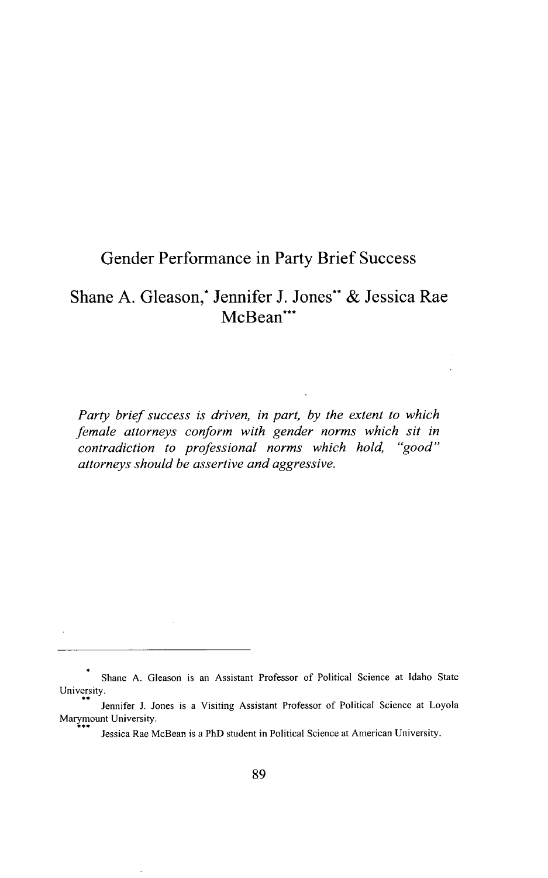# Gender Performance in Party Brief Success

# Shane A. Gleason,<sup>\*</sup> Jennifer J. Jones<sup>\*\*</sup> & Jessica Rae McBean\*\*\*

*Party brief success is driven, in part, by the extent to which female attorneys conform with gender norms which sit in contradiction to professional norms which hold, "good" attorneys should be assertive and aggressive.*

Shane **A.** Gleason is an Assistant Professor of Political Science at Idaho State University.

Jennifer **J.** Jones is a Visiting Assistant Professor of Political Science at Loyola Marymount University.

Jessica Rae McBean is a PhD student in Political Science at American University.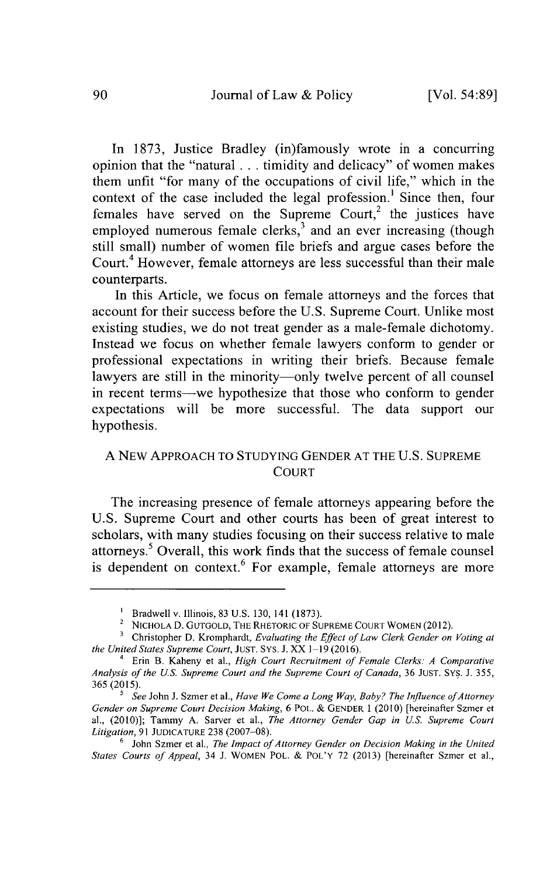In **1873,** Justice Bradley (in)famously wrote in a concurring opinion that the "natural **...** timidity and delicacy" of women makes them unfit "for many of the occupations of civil life," which in the context of the case included the legal profession.<sup>1</sup> Since then, four females have served on the Supreme Court,<sup>2</sup> the justices have employed numerous female clerks, $3$  and an ever increasing (though still small) number of women file briefs and argue cases before the Court.<sup>4</sup> However, female attorneys are less successful than their male counterparts.

In this Article, we focus on female attorneys and the forces that account for their success before the **U.S.** Supreme Court. Unlike most existing studies, we do not treat gender as a male-female dichotomy. Instead we focus on whether female lawyers conform to gender or professional expectations in writing their briefs. Because female lawyers are still in the minority-only twelve percent of all counsel in recent terms--we hypothesize that those who conform to gender expectations will be more successful. The data support our hypothesis.

## **A** NEW APPROACH TO **STUDYING GENDER AT** THE **U.S. SUPREME COURT**

The increasing presence of female attorneys appearing before the **U.S.** Supreme Court and other courts has been of great interest to scholars, with many studies focusing on their success relative to male attorneys.' Overall, this work finds that the success of female counsel is dependent on context.<sup>6</sup> For example, female attorneys are more

Bradwell v. Illinois, **83 U.S. 130, 141 (1873).**

<sup>2</sup> **NICHOLA D. GUTGOLD, THE RHETORIC OF SUPREME COURT** WOMEN (2012).

Christopher **D.** Kromphardt, *Evaluating the Effect of Law* Clerk Gender on Voting *at the United States Supreme Court,* **JUST. SYS. J.** XX **1-19 (2016).**

<sup>4</sup> Erin B. Kaheny et al., *High Court Recruitment of Female Clerks: A Comparative Analysis of the US. Supreme Court and the Supreme Court of Canada,* **36 JUST. SYS. J. 355, 365 (2015).**

<sup>&</sup>lt;sup>5</sup> See John J. Szmer et al., *Have We Come a Long Way, Baby? The Influence of Attorney Gender on Supreme Court Decision Making,* **6** POL. **& GENDER 1** (2010) [hereinafter Szmer et al., (2010)]; Tammy **A.** Sarver et al., *The Attorney Gender Gap in U.S. Supreme Court Litigation,* **91 JUDICATURE 238 (2007-08).**

<sup>6</sup> John Szmer et al., *The Impact of Attorney Gender on Decision Making in the United States Courts of Appeal,* 34 **J.** WOMEN POL. **&** POL'Y **72 (2013)** [hereinafter Szmer et al.,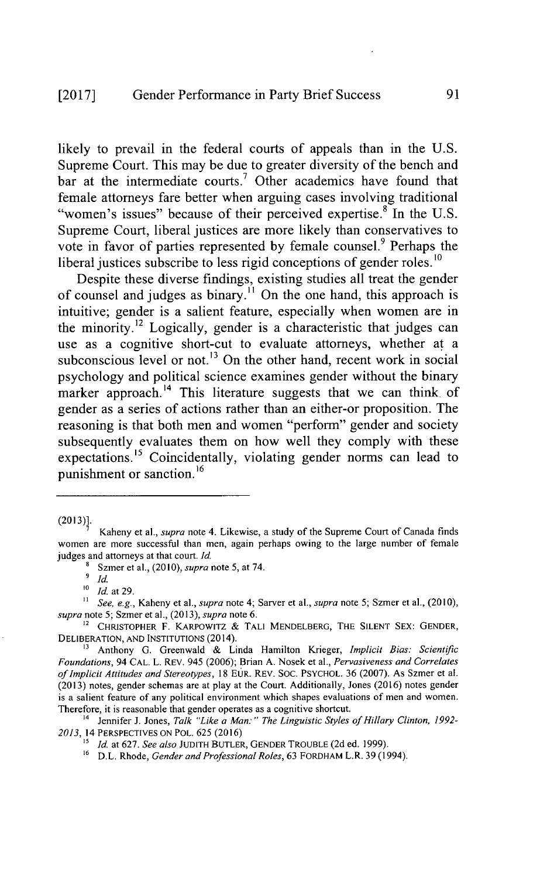## **[2017]** Gender Performance **in** Party Brief Success

likely to prevail in the federal courts of appeals than in the **U.S.** Supreme Court. This may be due to greater diversity of the bench and bar at the intermediate courts.<sup>7</sup> Other academics have found that female attorneys fare better when arguing cases involving traditional "women's issues" because of their perceived expertise.<sup>8</sup> In the U.S. Supreme Court, liberal justices are more likely than conservatives to vote in favor of parties represented by female counsel.<sup>9</sup> Perhaps the liberal justices subscribe to less rigid conceptions of gender roles.<sup>10</sup>

Despite these diverse findings, existing studies all treat the gender of counsel and judges as binary." On the one hand, this approach **is** intuitive; gender is a salient feature, especially when women are in the minority.<sup>12</sup> Logically, gender is a characteristic that judges can use as a cognitive short-cut to evaluate attorneys, whether at a subconscious level or not.<sup>13</sup> On the other hand, recent work in social psychology and political science examines gender without the binary marker approach.<sup>14</sup> This literature suggests that we can think of gender as a series of actions rather than an either-or proposition. The reasoning is that both men and women "perform" gender and society subsequently evaluates them on how well they comply with these expectations.<sup>15</sup> Coincidentally, violating gender norms can lead to punishment or sanction.<sup>16</sup>

**(2013)].**

<sup>9</sup> Id.

**0** *Id.* at **29.**

*" See, e.g.,* Kaheny et al., *supra* note 4; Sarver et al., *supra* note **5;** Szmer et al., **(2010),** *supra* note **5;** Szmer et al., **(2013),** *supra* note **6.**

**2** CHRISTOPHER F. KARPOWITZ **&** TALl MENDELBERG, THE **SILENT SEX: GENDER,** DELIBERATION, **AND INSTITUTIONS** (2014).

**"** Anthony **G.** Greenwald **&** Linda Hamilton Krieger, *Implicit Bias: Scientific Foundations, 94* **CAL.** L. **REV.** 945 **(2006);** Brian **A.** Nosek et al., *Pervasiveness and Correlates of Implicit Attitudes and Stereotypes, 18 EUR. REV. SOC. PSYCHOL. 36 (2007). As Szmer et al.* **(2013)** notes, gender schemas are at play at the Court. Additionally, Jones **(2016)** notes gender is a salient feature of any political environment which shapes evaluations of men and women. Therefore, it is reasonable that gender operates as a cognitive shortcut.

<sup>14</sup>Jennifer **J.** Jones, *Talk "Like a Man:" The Linguistic Styles offHillary Clinton, 1992- 2013,* 14 PERSPECTIVES **ON** POL. **625 (2016)**

*" Id.* at **627.** *See also* **JUDITH** BUTLER, **GENDER** TROUBLE **(2d** ed. **1999). 6** D.L. Rhode, *Gender and Professional Roles,* **63** FORDHAM L.R. **39** (1994).

Kaheny et al., *supra* note 4. Likewise, a study of the Supreme Court of Canada finds women are more successful than men, again perhaps owing to the large number **of** female judges and attorneys at that court. *Id.*

**<sup>8</sup>** Szmer et al., *(2010), supra* note **5,** at 74.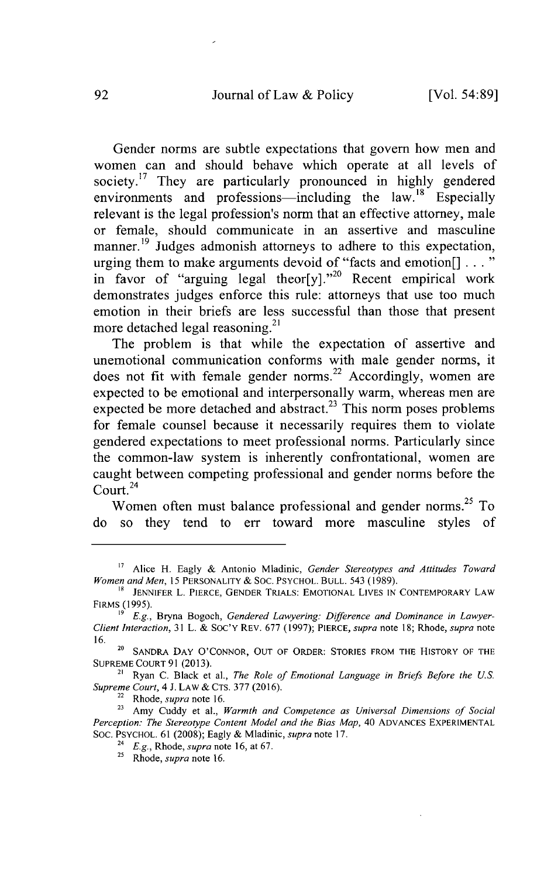Gender norms are subtle expectations that govern how men and women can and should behave which operate at all levels of society.<sup>17</sup> They are particularly pronounced in highly gendered environments and professions-including the law.<sup>18</sup> Especially relevant is the legal profession's norm that an effective attorney, male or female, should communicate in an assertive and masculine manner.<sup>19</sup> Judges admonish attorneys to adhere to this expectation, urging them to make arguments devoid of "facts and emotion[] **. . .** in favor of "arguing legal theor[y]."<sup>20</sup> Recent empirical work demonstrates judges enforce this rule: attorneys that use too much emotion in their briefs are less successful than those that present more detached legal reasoning. $^{21}$ 

The problem is that while the expectation of assertive and unemotional communication conforms with male gender norms, it does not fit with female gender norms.<sup>22</sup> Accordingly, women are expected to be emotional and interpersonally warm, whereas men are expected be more detached and abstract.<sup>23</sup> This norm poses problems for female counsel because it necessarily requires them to violate gendered expectations to meet professional norms. Particularly since the common-law system is inherently confrontational, women are caught between competing professional and gender norms before the Court $^{24}$ 

Women often must balance professional and gender norms.<sup>25</sup> To do so they tend to err toward more masculine styles of

**<sup>21</sup>**Ryan **C.** Black et al., *The Role of Emotional Language in Briefs Before the U.S. Supreme Court, 4* **J.** LAW **& CTS. 377 (2016).**

**<sup>22</sup>**Rhode, *supra* note **16.**

**<sup>17</sup>**Alice H. Eagly **&** Antonio Mladinic, *Gender Stereotypes and Attitudes Toward Women and Men, 15* PERSONALITY **& SOC.** PSYCHOL. **BULL.** 543 **(1989).**

**<sup>1&</sup>quot; JENNIFER** L. PIERCE, **GENDER** TRIALS: **EMOTIONAL** LIVES **IN** CONTEMPORARY LAW FIRMS **(1995).**

*<sup>&#</sup>x27;9 E.g.,* Bryna Bogoch, *Gendered Lawyering: Difference and Dominance in Lawyer-Client Interaction,* **31** L. **&** Soc'Y REV. **677 (1997);** PIERCE, *supra* note **18;** Rhode, *supra* note **16.**

**<sup>20</sup>SANDRA** DAY **O'CONNOR, OUT** OF ORDER: STORIES FROM THE HISTORY OF THE **SUPREME COURT 91 (2013).**

**<sup>23</sup>**Amy Cuddy et al., *Warmth and Competence as Universal Dimensions of Social Perception: The Stereotype Content Model and the Bias Map,* 40 ADVANCES EXPERIMENTAL **SOC.** PSYCHOL. **61 (2008);** Eagly **&** Mladinic, *supra* note **17.**

**<sup>24</sup>***E.g., Rhode, supra* note **16,** at **67.**

**<sup>25</sup>**Rhode, *supra* note **16.**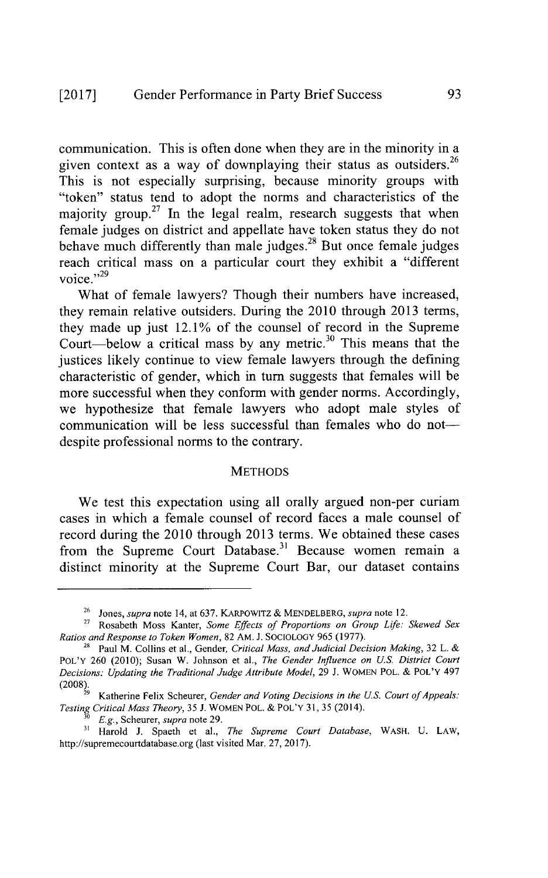communication. This is often done when they are in the minority in a given context as a way of downplaying their status as outsiders.<sup>26</sup> This is not especially surprising, because minority groups with "token" status tend to adopt the norms and characteristics of the majority group.<sup>27</sup> In the legal realm, research suggests that when female judges on district and appellate have token status they do not behave much differently than male judges.<sup>28</sup> But once female judges reach critical mass on a particular court they exhibit a "different **-,,29** voice.

What of female lawyers? Though their numbers have increased, they remain relative outsiders. During the 2010 through **2013** terms, they made up just 12.1% of the counsel of record in the Supreme Court-below a critical mass by any metric.<sup>30</sup> This means that the justices likely continue to view female lawyers through the defining characteristic of gender, which in turn suggests that females will be more successful when they conform with gender norms. Accordingly, we hypothesize that female lawyers who adopt male styles of communication will be less successful than females who do notdespite professional norms to the contrary.

#### **METHODS**

We test this expectation using all orally argued non-per curiam cases in which a female counsel of record faces a male counsel of record during the 2010 through **2013** terms. We obtained these cases from the Supreme Court Database.<sup>31</sup> Because women remain a distinct minority at the Supreme Court Bar, our dataset contains

**(2008).** <sup>29</sup>Katherine Felix Scheurer, *Gender and Voting Decisions in the U.S. Court ofAppeals: Testing Critical Mass Theory,* **35 J.** WOMEN POL. **&** POL'Y **31, 35** (2014). *Testing Critical Mass Theory*, 35 J. WOMEN POL. & POL'Y 31, 35 (2014).  $E.g.,$  Scheurer, *supra* note 29.

<sup>26</sup>*Jones, supra* note 14, at **637. KARPOWITZ &** MENDELBERG, *supra* note 12.

<sup>&</sup>lt;sup>27</sup> Rosabeth Moss Kanter, *Some Effects of Proportions on Group Life: Skewed Sex Ratios and Response to Token Women,* **82 AM. J. SOCIOLOGY** *965* **(1977).**

<sup>&</sup>lt;sup>28</sup> Paul M. Collins et al., Gender, *Critical Mass, and Judicial Decision Making*, 32 L. & POL'Y **260** (2010); Susan W. Johnson et al., *The Gender Influence on U.S. District Court Decisions: Updating the Traditional Judge Attribute Model,* **29 J.** WOMEN POL. **& POL'Y** 497

**<sup>31</sup>**Harold **J.** Spaeth et al., *The Supreme Court Database,* WASH. **U.** LAW, http://supremecourtdatabase.org (last visited Mar. **27, 2017).**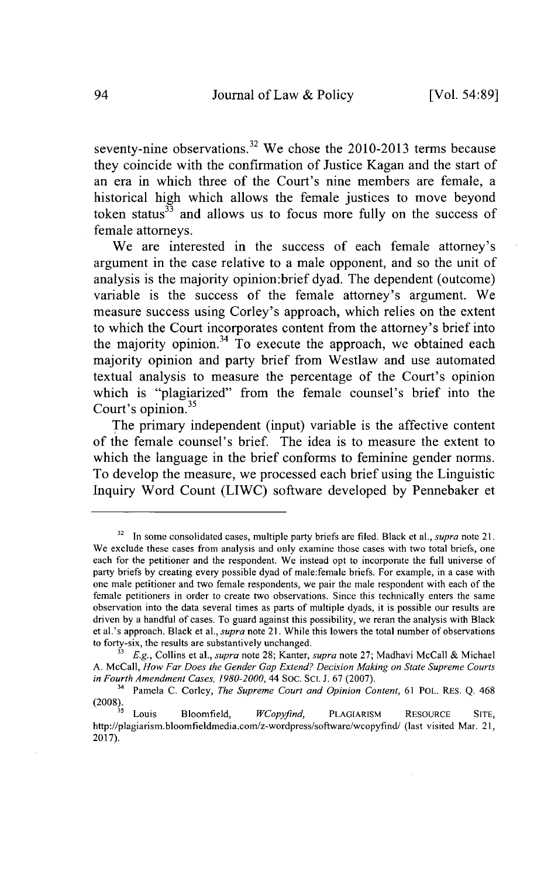seventy-nine observations.<sup>32</sup> We chose the 2010-2013 terms because they coincide with the confirmation of Justice Kagan and the start of an era in which three of the Court's nine members are female, a historical high which allows the female justices to move beyond token status $33$  and allows us to focus more fully on the success of female attorneys.

We are interested in the success of each female attorney's argument in the case relative to a male opponent, and so the unit of analysis is the majority opinion:brief dyad. The dependent (outcome) variable is the success of the female attorney's argument. We measure success using Corley's approach, which relies on the extent to which the Court incorporates content from the attorney's brief into the majority opinion. $34$  To execute the approach, we obtained each majority opinion and party brief from Westlaw and use automated textual analysis to measure the percentage of the Court's opinion which is "plagiarized" from the female counsel's brief into the Court's opinion. $35$ 

The primary independent (input) variable is the affective content **of** the female counsel's brief. The idea is to measure the extent to which the language in the brief conforms to feminine gender norms. To develop the measure, we processed each brief using the Linguistic Inquiry Word Count (LIWC) software developed **by** Pennebaker et

 $32$  In some consolidated cases, multiple party briefs are filed. Black et al., supra note 21. We exclude these cases from analysis and only examine those cases with two total briefs, one each for the petitioner and the respondent. We instead opt to incorporate the full universe of party briefs **by** creating every possible dyad of male:female briefs. For example, in a case with one male petitioner and two female respondents, we pair the male respondent with each of the female petitioners in order to create two observations. Since this technically enters the same observation into the data several times as parts of multiple dyads, it is possible our results are driven **by** a handful of cases. To guard against this possibility, we reran the analysis with Black et al.'s approach. Black et al., *supra* note **21.** While this lowers the total number of observations to forty-six, the results are substantively unchanged.

<sup>3</sup>*E.g.,* Collins et al., *supra* note **28;** Kanter, *supra* note **27;** Madhavi McCall **&** Michael **A.** McCall, *How Far Does the Gender Gap Extend? Decision Making on State Supreme Courts in Fourth Amendment Cases, 1980-2000,* 44 **SoC. SCL J. 67 (2007).**

<sup>&</sup>lt;sup>34</sup> Pamela C. Corley, *The Supreme Court and Opinion Content*, 61 POL. RES. Q. 468 **(2008).**

**<sup>35</sup>**Louis Bloomfield, *WCopyfind,* **PLAGIARISM** RESOURCE **SITE,** http://plagiarism.bloomfieldmedia.com/z-wordpress/software/wcopyfind/ (last visited Mar. 21, **2017).**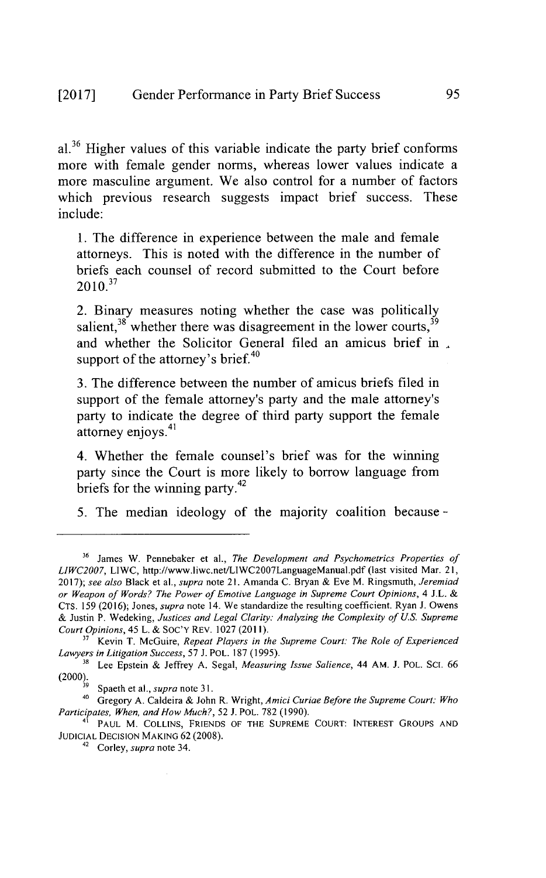**al.36** Higher values of this variable indicate the party brief conforms more with female gender norms, whereas lower values indicate a more masculine argument. We also control for a number of factors which previous research suggests impact brief success. These include:

**1.** The difference in experience between the male and female attorneys. This is noted with the difference in the number of briefs each counsel of record submitted to the Court before  $2010^{37}$ 

2. Binary measures noting whether the case was politically salient,  $3^8$  whether there was disagreement in the lower courts,  $3^9$ and whether the Solicitor General filed an amicus brief in support of the attorney's brief.<sup>40</sup>

**3.** The difference between the number of amicus briefs filed in support of the female attorney's party and the male attorney's party to indicate the degree of third party support the female  $atromev$  enjoys.<sup>41</sup>

4. Whether the female counsel's brief was for the winning party since the Court is more likely to borrow language from briefs for the winning party.42

**5.** The median ideology of the majority coalition because

**<sup>36</sup>**James W. Pennebaker et al., *The Development and Psychometrics Properties of LIWC2007,* LIWC, http://www.liwc.net/LIWC2007LanguageManual.pdf (last visited Mar. **21, 2017);** *see also* Black et al., *supra* note **21.** Amanda **C.** Bryan **&** Eve M. Ringsmuth, *Jeremiad or Weapon of Words? The Power of Emotive Language in Supreme Court Opinions, 4* **J.L. CTS. 159 (2016);** Jones, *supra* note 14. We standardize the resulting coefficient. Ryan **J.** Owens **&** Justin P. Wedeking, *Justices and Legal Clarity: Analyzing the Complexity of U.S. Supreme Court Opinions,* 45 L. **& SOC'Y** REV. **1027 (2011).**

n Kevin T. McGuire, *Repeat Players in the Supreme Court: The Role of Experienced Lawyers in Litigation Success,* **57 J.** POL. **187 (1995).**

**<sup>3</sup>**Lee Epstein **&** Jeffrey **A.** Segal, *Measuring Issue Salience,* 44 AM. **J.** POL. SCI. **66** (2000). **'** Spaeth et al., *supra* note **31.**

<sup>40</sup>Gregory **A.** Caldeira **&** John R. Wright, *Amici Curiae Before the Supreme Court: Who Participates, When, and How Much?,* **52 J.** POL. **782 (1990).**

<sup>41</sup>**PAUL** M. COLLINS, **FRIENDS** OF THE **SUPREME COURT: INTEREST GROUPS AND JUDICIAL DECISION MAKING 62 (2008).**

<sup>&</sup>lt;sup>42</sup> Corley, *supra* note 34.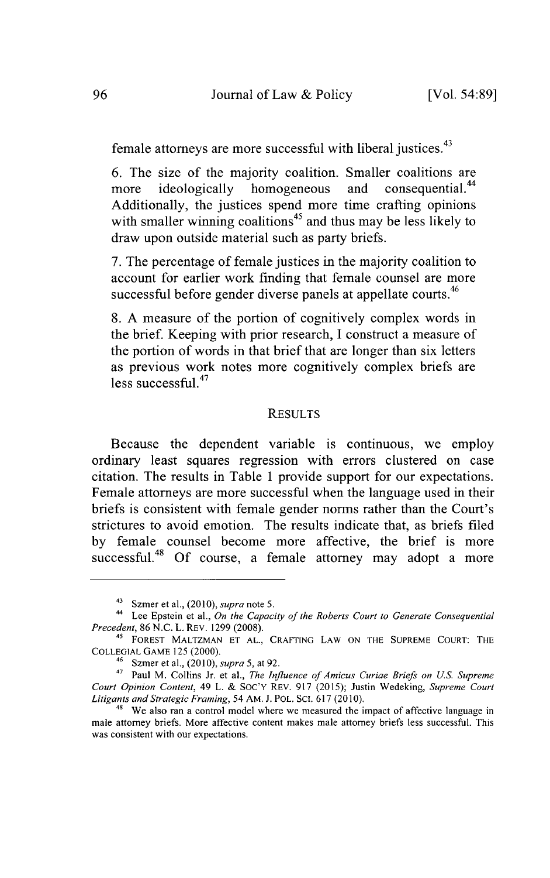female attorneys are more successful with liberal justices.<sup>43</sup>

6. The size of the majority coalition. Smaller coalitions are more ideologically homogeneous and consequential.<sup>44</sup> more ideologically homogeneous and Additionally, the justices spend more time crafting opinions with smaller winning coalitions<sup>45</sup> and thus may be less likely to draw upon outside material such as party briefs.

**7.** The percentage of female justices in the majority coalition to account for earlier work finding that female counsel are more successful before gender diverse panels at appellate courts.<sup>46</sup>

**8. A** measure of the portion of cognitively complex words in the brief. Keeping with prior research, **I** construct a measure of the portion of words in that brief that are longer than six letters as previous work notes more cognitively complex briefs are  $\text{less successful}^{47}$ 

### **RESULTS**

Because the dependent variable is continuous, we employ ordinary least squares regression with errors clustered on case citation. The results in Table 1 provide support for our expectations. Female attorneys are more successful when the language used **in** their briefs is consistent with female gender norms rather than the Court's strictures to avoid emotion. The results indicate that, as briefs filed **by** female counsel become more affective, the brief is more successful.<sup>48</sup> Of course, a female attorney may adopt a more

<sup>43</sup>Szmer et al., *(2010), supra* note **5.**

<sup>4</sup>Lee Epstein et al., *On the Capacity of the Roberts Court to Generate Consequential Precedent,* **86 N.C.** L. REV. **1299 (2008).**

<sup>45</sup>**FOREST MALTZMAN ET AL.,** CRAFTING LAW **ON THE SUPREME COURT: THE COLLEGIAL GAME 125** (2000).

**<sup>46</sup>**Szmer et al., *(2010), supra 5,* at **92.**

<sup>&</sup>lt;sup>47</sup> Paul M. Collins Jr. et al., *The Influence of Amicus Curiae Briefs on U.S. Supreme Court Opinion Content,* 49 L. **& SOC'Y** REv. **917 (2015);** Justin Wedeking, *Supreme Court Litigants and Strategic Framing, 54* **AM. J.** POL. SC. **617** (2010).

<sup>&</sup>lt;sup>48</sup> We also ran a control model where we measured the impact of affective language in male attorney briefs. More affective content makes male attorney briefs less successful. This was consistent with our expectations.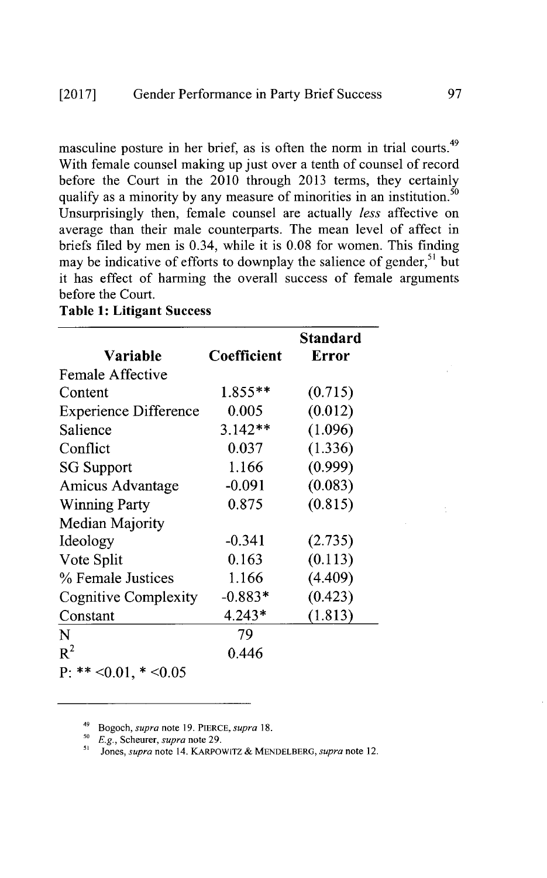masculine posture in her brief, as is often the norm in trial courts.<sup>49</sup> With female counsel making up just over a tenth of counsel of record before the Court in the 2010 through **2013** terms, they certainly qualify as a minority by any measure of minorities in an institution.<sup>50</sup> Unsurprisingly then, female counsel are actually *less* affective on average than their male counterparts. The mean level of affect in briefs filed **by** men is 0.34, while it is **0.08** for women. This finding may be indicative of efforts to downplay the salience of gender,  $51$  but it has effect of harming the overall success of female arguments before the Court.

**Table 1: Litigant Success**

| Variable                     | Coefficient | <b>Standard</b><br><b>Error</b> |
|------------------------------|-------------|---------------------------------|
| <b>Female Affective</b>      |             |                                 |
| Content                      | $1.855**$   | (0.715)                         |
| <b>Experience Difference</b> | 0.005       | (0.012)                         |
| Salience                     | $3.142**$   | (1.096)                         |
| Conflict                     | 0.037       | (1.336)                         |
| <b>SG Support</b>            | 1.166       | (0.999)                         |
| Amicus Advantage             | $-0.091$    | (0.083)                         |
| <b>Winning Party</b>         | 0.875       | (0.815)                         |
| <b>Median Majority</b>       |             |                                 |
| Ideology                     | $-0.341$    | (2.735)                         |
| Vote Split                   | 0.163       | (0.113)                         |
| % Female Justices            | 1.166       | (4.409)                         |
| <b>Cognitive Complexity</b>  | $-0.883*$   | (0.423)                         |
| Constant                     | $4.243*$    | (1.813)                         |
| N                            | 79          |                                 |
| $R^2$                        | 0.446       |                                 |
| $P: ** <0.01, * <0.05$       |             |                                 |

<sup>49</sup>*Bogoch, supra* note **19.** PIERCE, *supra 18.*

*<sup>&#</sup>x27;0 E.g.,* Scheurer, *supra* note **29.**

**<sup>5</sup>***Jones, supra* note 14. KARPOWITZ **&** MENDELBERG, *supra* note 12.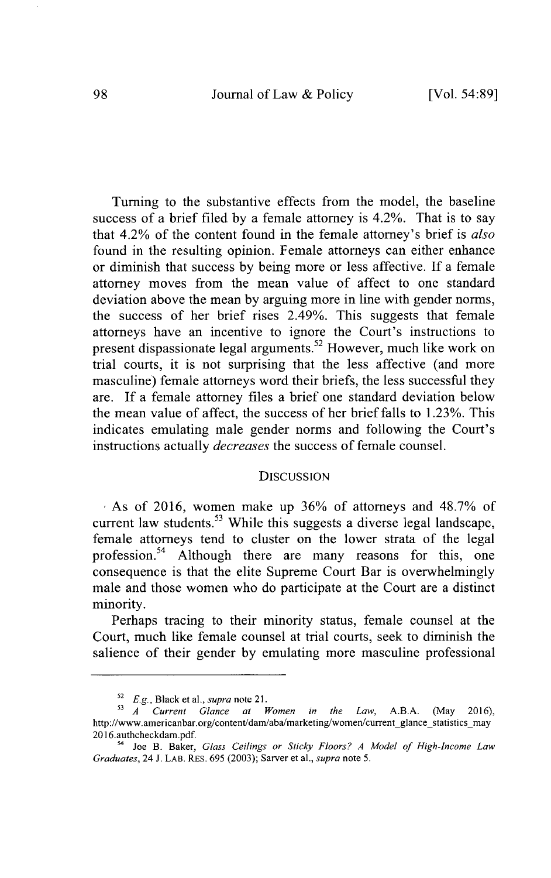Journal of Law **&** Policy **98** [Vol. **54:89]**

Turning to the substantive effects from the model, the baseline success of a brief filed **by** a female attorney is 4.2%. That is to say that 4.2% of the content found in the female attorney's brief is *also* found in the resulting opinion. Female attorneys can either enhance or diminish that success **by** being more or less affective. **If** a female attorney moves from the mean value of affect to one standard deviation above the mean **by** arguing more in line with gender norms, the success of her brief rises 2.49%. This suggests that female attorneys have an incentive to ignore the Court's instructions to present dispassionate legal arguments.<sup>52</sup> However, much like work on trial courts, it is not surprising that the less affective (and more masculine) female attorneys word their briefs, the less successful they are. **If** a female attorney files a brief one standard deviation below the mean value of affect, the success of her brief falls to **1.23%.** This indicates emulating male gender norms and following the Court's instructions actually *decreases* the success of female counsel.

### **DISCUSSION**

As of **2016,** women make up **36%** of attorneys and **48.7%** of current law students.<sup>53</sup> While this suggests a diverse legal landscape, female attorneys tend to cluster on the lower strata of the legal profession.<sup>54</sup> Although there are many reasons for this, one consequence is that the elite Supreme Court Bar is overwhelmingly male and those women who do participate at the Court are a distinct minority.

Perhaps tracing to their minority status, female counsel at the Court, much like female counsel at trial courts, seek to diminish the salience of their gender **by** emulating more masculine professional

<sup>52</sup>*E.g.,* Black et al., *supra* note 21.

<sup>s</sup>*<sup>A</sup>Current Glance at Women in the Law,* **A.B.A.** (May **2016),** http://www.americanbar.org/content/dam/aba/marketing/women/current glance statistics may 2016.authcheckdam.pdf.

<sup>&#</sup>x27; Joe B. Baker, *Glass Ceilings or Sticky Floors? A Model of High-Income Law Graduates,* 24 **J.** LAB. REs. **695 (2003);** Sarver et al., *supra note* **5.**